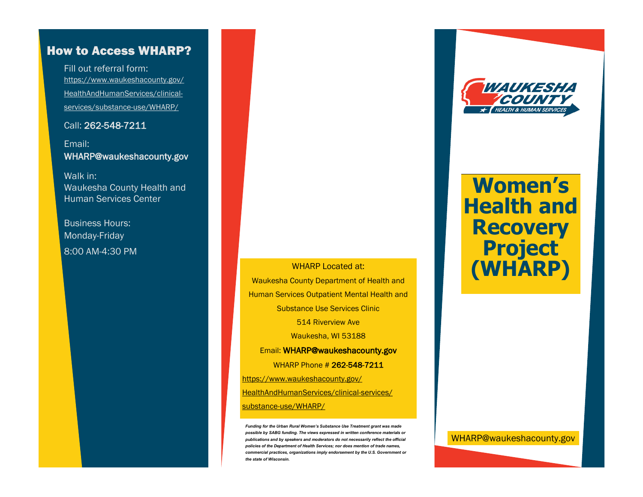# How to Access WHARP?

Fill out referral form: https://www.waukeshacounty.gov/ HealthAndHumanServices/clinicalservices/substance-use/WHARP/

Call: 262-548-7211

Email: WHARP@waukeshacounty.gov

Walk in: Waukesha County Health and Human Services Center

Business Hours: Monday-Friday 8:00 AM-4:30 PM



# **Women's Health and Recovery Project (WHARP)**

#### WHARP Located at:

Waukesha County Department of Health and Human Services Outpatient Mental Health and Substance Use Services Clinic 514 Riverview Ave Waukesha, WI 53188 Email: WHARP@waukeshacounty.gov WHARP Phone # 262-548-7211 https://www.waukeshacounty.gov/ HealthAndHumanServices/clinical-services/ substance-use/WHARP/

*Funding for the Urban Rural Women's Substance Use Treatment grant was made possible by SABG funding. The views expressed in written conference materials or publications and by speakers and moderators do not necessarily reflect the official policies of the Department of Health Services; nor does mention of trade names, commercial practices, organizations imply endorsement by the U.S. Government or the state of Wisconsin.*

WHARP@waukeshacounty.gov